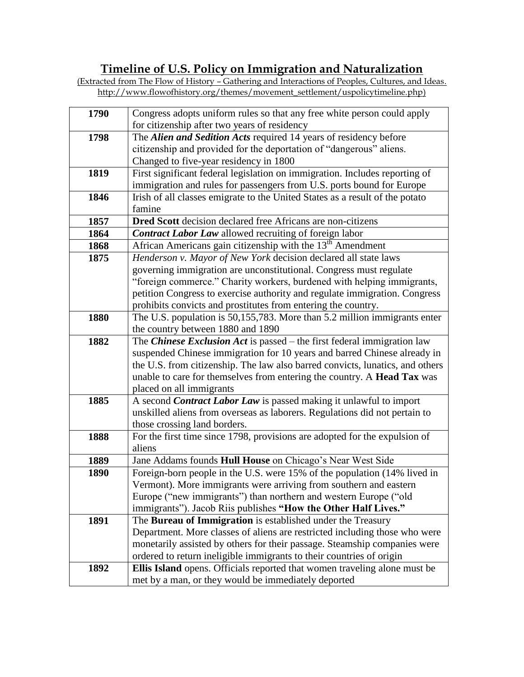## **Timeline of U.S. Policy on Immigration and Naturalization**

| (Extracted from The Flow of History – Gathering and Interactions of Peoples, Cultures, and Ideas.) |  |  |
|----------------------------------------------------------------------------------------------------|--|--|
| http://www.flowofhistory.org/themes/movement settlement/uspolicytimeline.php)                      |  |  |

| 1790 | Congress adopts uniform rules so that any free white person could apply       |
|------|-------------------------------------------------------------------------------|
|      | for citizenship after two years of residency                                  |
| 1798 | The Alien and Sedition Acts required 14 years of residency before             |
|      | citizenship and provided for the deportation of "dangerous" aliens.           |
|      | Changed to five-year residency in 1800                                        |
| 1819 | First significant federal legislation on immigration. Includes reporting of   |
|      | immigration and rules for passengers from U.S. ports bound for Europe         |
| 1846 | Irish of all classes emigrate to the United States as a result of the potato  |
|      | famine                                                                        |
| 1857 | Dred Scott decision declared free Africans are non-citizens                   |
| 1864 | <b>Contract Labor Law</b> allowed recruiting of foreign labor                 |
| 1868 | African Americans gain citizenship with the $13th$ Amendment                  |
| 1875 | Henderson v. Mayor of New York decision declared all state laws               |
|      | governing immigration are unconstitutional. Congress must regulate            |
|      | "foreign commerce." Charity workers, burdened with helping immigrants,        |
|      | petition Congress to exercise authority and regulate immigration. Congress    |
|      | prohibits convicts and prostitutes from entering the country.                 |
| 1880 | The U.S. population is 50,155,783. More than 5.2 million immigrants enter     |
|      | the country between 1880 and 1890                                             |
| 1882 | The Chinese Exclusion Act is passed - the first federal immigration law       |
|      | suspended Chinese immigration for 10 years and barred Chinese already in      |
|      | the U.S. from citizenship. The law also barred convicts, lunatics, and others |
|      | unable to care for themselves from entering the country. A Head Tax was       |
|      | placed on all immigrants                                                      |
| 1885 | A second Contract Labor Law is passed making it unlawful to import            |
|      | unskilled aliens from overseas as laborers. Regulations did not pertain to    |
|      | those crossing land borders.                                                  |
| 1888 | For the first time since 1798, provisions are adopted for the expulsion of    |
|      | aliens                                                                        |
| 1889 | Jane Addams founds Hull House on Chicago's Near West Side                     |
| 1890 | Foreign-born people in the U.S. were 15% of the population (14% lived in      |
|      | Vermont). More immigrants were arriving from southern and eastern             |
|      | Europe ("new immigrants") than northern and western Europe ("old"             |
|      | immigrants"). Jacob Riis publishes "How the Other Half Lives."                |
| 1891 | The Bureau of Immigration is established under the Treasury                   |
|      | Department. More classes of aliens are restricted including those who were    |
|      | monetarily assisted by others for their passage. Steamship companies were     |
|      | ordered to return ineligible immigrants to their countries of origin          |
| 1892 | Ellis Island opens. Officials reported that women traveling alone must be     |
|      | met by a man, or they would be immediately deported                           |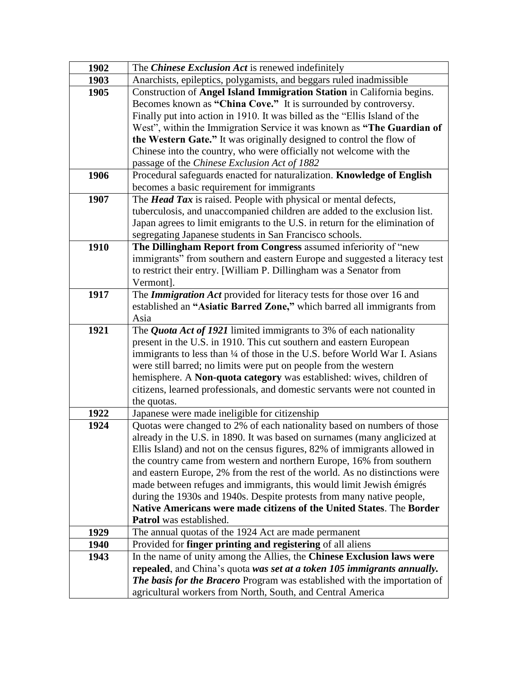| 1902 | The Chinese Exclusion Act is renewed indefinitely                                                                                        |  |  |
|------|------------------------------------------------------------------------------------------------------------------------------------------|--|--|
| 1903 | Anarchists, epileptics, polygamists, and beggars ruled inadmissible                                                                      |  |  |
| 1905 | Construction of Angel Island Immigration Station in California begins.                                                                   |  |  |
|      | Becomes known as "China Cove." It is surrounded by controversy.                                                                          |  |  |
|      | Finally put into action in 1910. It was billed as the "Ellis Island of the                                                               |  |  |
|      | West", within the Immigration Service it was known as "The Guardian of                                                                   |  |  |
|      | the Western Gate." It was originally designed to control the flow of                                                                     |  |  |
|      | Chinese into the country, who were officially not welcome with the                                                                       |  |  |
|      | passage of the Chinese Exclusion Act of 1882                                                                                             |  |  |
| 1906 | Procedural safeguards enacted for naturalization. Knowledge of English                                                                   |  |  |
|      | becomes a basic requirement for immigrants                                                                                               |  |  |
| 1907 | The <b>Head Tax</b> is raised. People with physical or mental defects,                                                                   |  |  |
|      | tuberculosis, and unaccompanied children are added to the exclusion list.                                                                |  |  |
|      | Japan agrees to limit emigrants to the U.S. in return for the elimination of                                                             |  |  |
|      | segregating Japanese students in San Francisco schools.                                                                                  |  |  |
| 1910 | The Dillingham Report from Congress assumed inferiority of "new                                                                          |  |  |
|      | immigrants" from southern and eastern Europe and suggested a literacy test                                                               |  |  |
|      | to restrict their entry. [William P. Dillingham was a Senator from                                                                       |  |  |
|      | Vermont].                                                                                                                                |  |  |
| 1917 | The <i>Immigration Act</i> provided for literacy tests for those over 16 and                                                             |  |  |
|      | established an "Asiatic Barred Zone," which barred all immigrants from                                                                   |  |  |
|      | Asia                                                                                                                                     |  |  |
| 1921 | The <i>Quota Act of 1921</i> limited immigrants to 3% of each nationality                                                                |  |  |
|      | present in the U.S. in 1910. This cut southern and eastern European                                                                      |  |  |
|      | immigrants to less than 1/4 of those in the U.S. before World War I. Asians                                                              |  |  |
|      | were still barred; no limits were put on people from the western<br>hemisphere. A Non-quota category was established: wives, children of |  |  |
|      | citizens, learned professionals, and domestic servants were not counted in                                                               |  |  |
|      | the quotas.                                                                                                                              |  |  |
| 1922 | Japanese were made ineligible for citizenship                                                                                            |  |  |
| 1924 | Quotas were changed to 2% of each nationality based on numbers of those                                                                  |  |  |
|      | already in the U.S. in 1890. It was based on surnames (many anglicized at                                                                |  |  |
|      | Ellis Island) and not on the census figures, 82% of immigrants allowed in                                                                |  |  |
|      | the country came from western and northern Europe, 16% from southern                                                                     |  |  |
|      | and eastern Europe, 2% from the rest of the world. As no distinctions were                                                               |  |  |
|      | made between refuges and immigrants, this would limit Jewish émigrés                                                                     |  |  |
|      | during the 1930s and 1940s. Despite protests from many native people,                                                                    |  |  |
|      | Native Americans were made citizens of the United States. The Border                                                                     |  |  |
|      | Patrol was established.                                                                                                                  |  |  |
| 1929 | The annual quotas of the 1924 Act are made permanent                                                                                     |  |  |
| 1940 | Provided for <b>finger printing and registering</b> of all aliens                                                                        |  |  |
| 1943 | In the name of unity among the Allies, the Chinese Exclusion laws were                                                                   |  |  |
|      | repealed, and China's quota was set at a token 105 immigrants annually.                                                                  |  |  |
|      | The basis for the Bracero Program was established with the importation of                                                                |  |  |
|      | agricultural workers from North, South, and Central America                                                                              |  |  |